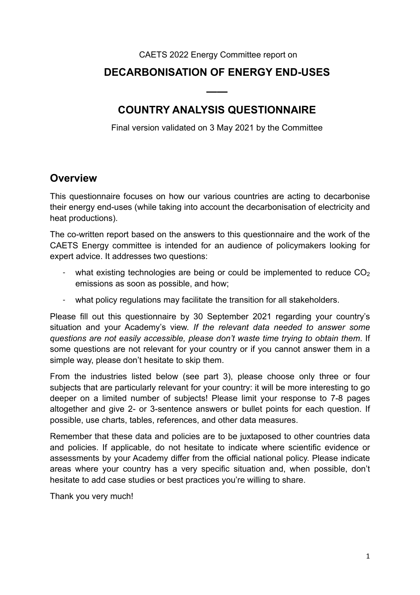#### CAETS 2022 Energy Committee report on

#### **DECARBONISATION OF ENERGY END-USES**

#### **COUNTRY ANALYSIS QUESTIONNAIRE**

**——** 

Final version validated on 3 May 2021 by the Committee

#### **Overview**

This questionnaire focuses on how our various countries are acting to decarbonise their energy end-uses (while taking into account the decarbonisation of electricity and heat productions).

The co-written report based on the answers to this questionnaire and the work of the CAETS Energy committee is intended for an audience of policymakers looking for expert advice. It addresses two questions:

- what existing technologies are being or could be implemented to reduce  $CO<sub>2</sub>$ emissions as soon as possible, and how;
- what policy regulations may facilitate the transition for all stakeholders.

Please fill out this questionnaire by 30 September 2021 regarding your country's situation and your Academy's view. *If the relevant data needed to answer some questions are not easily accessible, please don't waste time trying to obtain them*. If some questions are not relevant for your country or if you cannot answer them in a simple way, please don't hesitate to skip them.

From the industries listed below (see part 3), please choose only three or four subjects that are particularly relevant for your country: it will be more interesting to go deeper on a limited number of subjects! Please limit your response to 7-8 pages altogether and give 2- or 3-sentence answers or bullet points for each question. If possible, use charts, tables, references, and other data measures.

Remember that these data and policies are to be juxtaposed to other countries data and policies. If applicable, do not hesitate to indicate where scientific evidence or assessments by your Academy differ from the official national policy. Please indicate areas where your country has a very specific situation and, when possible, don't hesitate to add case studies or best practices you're willing to share.

Thank you very much!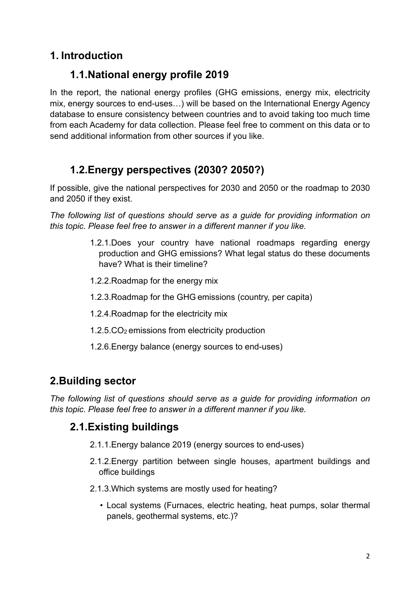# **1. Introduction**

## **1.1.National energy profile 2019**

In the report, the national energy profiles (GHG emissions, energy mix, electricity mix, energy sources to end-uses…) will be based on the International Energy Agency database to ensure consistency between countries and to avoid taking too much time from each Academy for data collection. Please feel free to comment on this data or to send additional information from other sources if you like.

# **1.2.Energy perspectives (2030? 2050?)**

If possible, give the national perspectives for 2030 and 2050 or the roadmap to 2030 and 2050 if they exist.

*The following list of questions should serve as a guide for providing information on this topic. Please feel free to answer in a different manner if you like.* 

- 1.2.1.Does your country have national roadmaps regarding energy production and GHG emissions? What legal status do these documents have? What is their timeline?
- 1.2.2.Roadmap for the energy mix
- 1.2.3.Roadmap for the GHG emissions (country, per capita)
- 1.2.4.Roadmap for the electricity mix
- 1.2.5.CO2 emissions from electricity production
- 1.2.6.Energy balance (energy sources to end-uses)

## **2.Building sector**

*The following list of questions should serve as a guide for providing information on this topic. Please feel free to answer in a different manner if you like.* 

## **2.1.Existing buildings**

- 2.1.1.Energy balance 2019 (energy sources to end-uses)
- 2.1.2.Energy partition between single houses, apartment buildings and office buildings
- 2.1.3.Which systems are mostly used for heating?
	- Local systems (Furnaces, electric heating, heat pumps, solar thermal panels, geothermal systems, etc.)?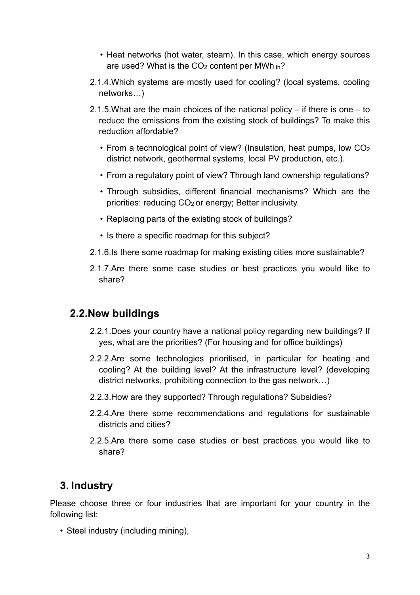- Heat networks (hot water, steam). In this case, which energy sources are used? What is the  $CO<sub>2</sub>$  content per MWh th<sup>2</sup>
- 2.1.4.Which systems are mostly used for cooling? (local systems, cooling networks…)
- 2.1.5.What are the main choices of the national policy if there is one to reduce the emissions from the existing stock of buildings? To make this reduction affordable?
	- From a technological point of view? (Insulation, heat pumps, low  $CO<sub>2</sub>$ district network, geothermal systems, local PV production, etc.).
	- From a regulatory point of view? Through land ownership regulations?
	- Through subsidies, different financial mechanisms? Which are the priorities: reducing CO<sub>2</sub> or energy; Better inclusivity.
	- Replacing parts of the existing stock of buildings?
	- Is there a specific roadmap for this subject?
- 2.1.6.Is there some roadmap for making existing cities more sustainable?
- 2.1.7.Are there some case studies or best practices you would like to share?

#### **2.2.New buildings**

- 2.2.1.Does your country have a national policy regarding new buildings? If yes, what are the priorities? (For housing and for office buildings)
- 2.2.2.Are some technologies prioritised, in particular for heating and cooling? At the building level? At the infrastructure level? (developing district networks, prohibiting connection to the gas network…)
- 2.2.3.How are they supported? Through regulations? Subsidies?
- 2.2.4.Are there some recommendations and regulations for sustainable districts and cities?
- 2.2.5.Are there some case studies or best practices you would like to share?

## **3. Industry**

Please choose three or four industries that are important for your country in the following list:

• Steel industry (including mining),